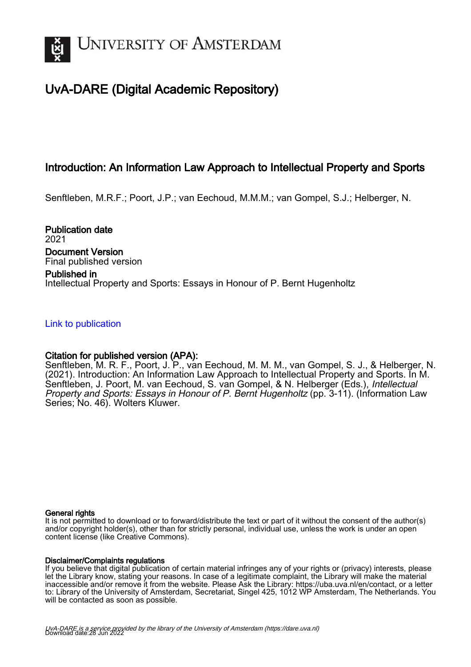

## UvA-DARE (Digital Academic Repository)

## Introduction: An Information Law Approach to Intellectual Property and Sports

Senftleben, M.R.F.; Poort, J.P.; van Eechoud, M.M.M.; van Gompel, S.J.; Helberger, N.

Publication date 2021 Document Version Final published version

### Published in Intellectual Property and Sports: Essays in Honour of P. Bernt Hugenholtz

#### [Link to publication](https://dare.uva.nl/personal/pure/en/publications/introduction-an-information-law-approach-to-intellectual-property-and-sports(7f8da2ac-bd1c-449a-af3c-57e525a581b9).html)

### Citation for published version (APA):

Senftleben, M. R. F., Poort, J. P., van Eechoud, M. M. M., van Gompel, S. J., & Helberger, N. (2021). Introduction: An Information Law Approach to Intellectual Property and Sports. In M. Senftleben, J. Poort, M. van Eechoud, S. van Gompel, & N. Helberger (Eds.), Intellectual Property and Sports: Essays in Honour of P. Bernt Hugenholtz (pp. 3-11). (Information Law Series; No. 46). Wolters Kluwer.

#### General rights

It is not permitted to download or to forward/distribute the text or part of it without the consent of the author(s) and/or copyright holder(s), other than for strictly personal, individual use, unless the work is under an open content license (like Creative Commons).

#### Disclaimer/Complaints regulations

If you believe that digital publication of certain material infringes any of your rights or (privacy) interests, please let the Library know, stating your reasons. In case of a legitimate complaint, the Library will make the material inaccessible and/or remove it from the website. Please Ask the Library: https://uba.uva.nl/en/contact, or a letter to: Library of the University of Amsterdam, Secretariat, Singel 425, 1012 WP Amsterdam, The Netherlands. You will be contacted as soon as possible.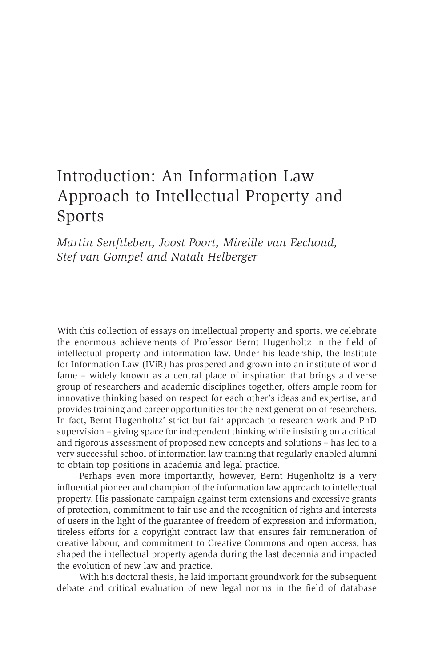# Introduction: An Information Law Approach to Intellectual Property and Sports

*Martin Senftleben, Joost Poort, Mireille van Eechoud, Stef van Gompel and Natali Helberger*

With this collection of essays on intellectual property and sports, we celebrate the enormous achievements of Professor Bernt Hugenholtz in the field of intellectual property and information law. Under his leadership, the Institute for Information Law (IViR) has prospered and grown into an institute of world fame – widely known as a central place of inspiration that brings a diverse group of researchers and academic disciplines together, offers ample room for innovative thinking based on respect for each other's ideas and expertise, and provides training and career opportunities for the next generation of researchers. In fact, Bernt Hugenholtz' strict but fair approach to research work and PhD supervision – giving space for independent thinking while insisting on a critical and rigorous assessment of proposed new concepts and solutions – has led to a very successful school of information law training that regularly enabled alumni to obtain top positions in academia and legal practice.

Perhaps even more importantly, however, Bernt Hugenholtz is a very influential pioneer and champion of the information law approach to intellectual property. His passionate campaign against term extensions and excessive grants of protection, commitment to fair use and the recognition of rights and interests of users in the light of the guarantee of freedom of expression and information, tireless efforts for a copyright contract law that ensures fair remuneration of creative labour, and commitment to Creative Commons and open access, has shaped the intellectual property agenda during the last decennia and impacted the evolution of new law and practice.

With his doctoral thesis, he laid important groundwork for the subsequent debate and critical evaluation of new legal norms in the field of database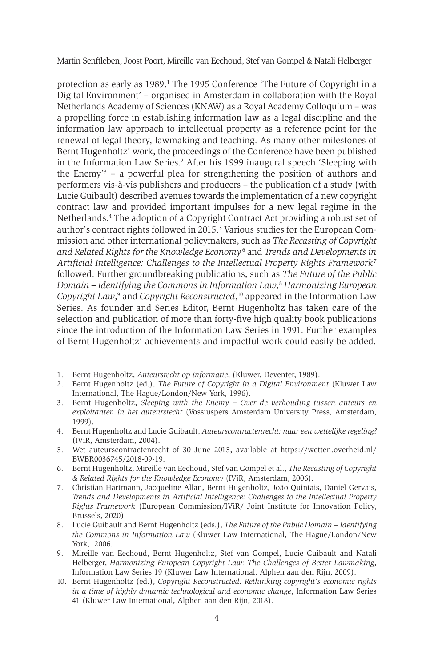Martin Senftleben, Joost Poort, Mireille van Eechoud, Stef van Gompel & Natali Helberger

protection as early as 1989.<sup>1</sup> The 1995 Conference 'The Future of Copyright in a Digital Environment' – organised in Amsterdam in collaboration with the Royal Netherlands Academy of Sciences (KNAW) as a Royal Academy Colloquium – was a propelling force in establishing information law as a legal discipline and the information law approach to intellectual property as a reference point for the renewal of legal theory, lawmaking and teaching. As many other milestones of Bernt Hugenholtz' work, the proceedings of the Conference have been published in the Information Law Series.<sup>2</sup> After his 1999 inaugural speech 'Sleeping with the Enemy'3 – a powerful plea for strengthening the position of authors and performers vis-à-vis publishers and producers – the publication of a study (with Lucie Guibault) described avenues towards the implementation of a new copyright contract law and provided important impulses for a new legal regime in the Netherlands.<sup>4</sup> The adoption of a Copyright Contract Act providing a robust set of author's contract rights followed in 2015.<sup>5</sup> Various studies for the European Commission and other international policymakers, such as *The Recasting of Copyright and Related Rights for the Knowledge Economy* <sup>6</sup> and *Trends and Developments in Artificial Intelligence: Challenges to the Intellectual Property Rights Framework*<sup>7</sup> followed. Further groundbreaking publications, such as *The Future of the Public Domain – Identifying the Commons in Information Law*, <sup>8</sup> *Harmonizing European Copyright Law*,<sup>9</sup> and *Copyright Reconstructed*,<sup>10</sup> appeared in the Information Law Series. As founder and Series Editor, Bernt Hugenholtz has taken care of the selection and publication of more than forty-five high quality book publications since the introduction of the Information Law Series in 1991. Further examples of Bernt Hugenholtz' achievements and impactful work could easily be added.

<sup>1.</sup> Bernt Hugenholtz, *Auteursrecht op informatie*, (Kluwer, Deventer, 1989).

<sup>2.</sup> Bernt Hugenholtz (ed.), *The Future of Copyright in a Digital Environment* (Kluwer Law International, The Hague/London/New York, 1996).

<sup>3.</sup> Bernt Hugenholtz, *Sleeping with the Enemy – Over de verhouding tussen auteurs en exploitanten in het auteursrecht* (Vossiuspers Amsterdam University Press, Amsterdam, 1999).

<sup>4.</sup> Bernt Hugenholtz and Lucie Guibault, *Auteurscontractenrecht: naar een wettelijke regeling?* (IViR, Amsterdam, 2004).

<sup>5.</sup> Wet auteurscontractenrecht of 30 June 2015, available at https://wetten.overheid.nl/ BWBR0036745/2018-09-19.

<sup>6.</sup> Bernt Hugenholtz, Mireille van Eechoud, Stef van Gompel et al., *The Recasting of Copyright & Related Rights for the Knowledge Economy* (IViR, Amsterdam, 2006).

<sup>7.</sup> Christian Hartmann, Jacqueline Allan, Bernt Hugenholtz, João Quintais, Daniel Gervais, *Trends and Developments in Artificial Intelligence: Challenges to the Intellectual Property Rights Framework* (European Commission/IViR/ Joint Institute for Innovation Policy, Brussels, 2020).

<sup>8.</sup> Lucie Guibault and Bernt Hugenholtz (eds.), *The Future of the Public Domain – Identifying the Commons in Information Law* (Kluwer Law International, The Hague/London/New York, 2006.

<sup>9.</sup> Mireille van Eechoud, Bernt Hugenholtz, Stef van Gompel, Lucie Guibault and Natali Helberger, *Harmonizing European Copyright Law: The Challenges of Better Lawmaking*, Information Law Series 19 (Kluwer Law International, Alphen aan den Rijn, 2009).

<sup>10.</sup> Bernt Hugenholtz (ed.), *Copyright Reconstructed. Rethinking copyright's economic rights in a time of highly dynamic technological and economic change*, Information Law Series 41 (Kluwer Law International, Alphen aan den Rijn, 2018).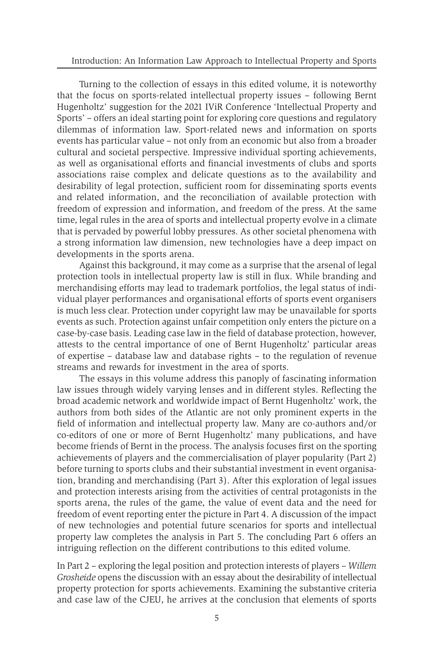Turning to the collection of essays in this edited volume, it is noteworthy that the focus on sports-related intellectual property issues – following Bernt Hugenholtz' suggestion for the 2021 IViR Conference 'Intellectual Property and Sports' – offers an ideal starting point for exploring core questions and regulatory dilemmas of information law. Sport-related news and information on sports events has particular value – not only from an economic but also from a broader cultural and societal perspective. Impressive individual sporting achievements, as well as organisational efforts and financial investments of clubs and sports associations raise complex and delicate questions as to the availability and desirability of legal protection, sufficient room for disseminating sports events and related information, and the reconciliation of available protection with freedom of expression and information, and freedom of the press. At the same time, legal rules in the area of sports and intellectual property evolve in a climate that is pervaded by powerful lobby pressures. As other societal phenomena with a strong information law dimension, new technologies have a deep impact on developments in the sports arena.

Against this background, it may come as a surprise that the arsenal of legal protection tools in intellectual property law is still in flux. While branding and merchandising efforts may lead to trademark portfolios, the legal status of individual player performances and organisational efforts of sports event organisers is much less clear. Protection under copyright law may be unavailable for sports events as such. Protection against unfair competition only enters the picture on a case-by-case basis. Leading case law in the field of database protection, however, attests to the central importance of one of Bernt Hugenholtz' particular areas of expertise – database law and database rights – to the regulation of revenue streams and rewards for investment in the area of sports.

The essays in this volume address this panoply of fascinating information law issues through widely varying lenses and in different styles. Reflecting the broad academic network and worldwide impact of Bernt Hugenholtz' work, the authors from both sides of the Atlantic are not only prominent experts in the field of information and intellectual property law. Many are co-authors and/or co-editors of one or more of Bernt Hugenholtz' many publications, and have become friends of Bernt in the process. The analysis focuses first on the sporting achievements of players and the commercialisation of player popularity (Part 2) before turning to sports clubs and their substantial investment in event organisation, branding and merchandising (Part 3). After this exploration of legal issues and protection interests arising from the activities of central protagonists in the sports arena, the rules of the game, the value of event data and the need for freedom of event reporting enter the picture in Part 4. A discussion of the impact of new technologies and potential future scenarios for sports and intellectual property law completes the analysis in Part 5. The concluding Part 6 offers an intriguing reflection on the different contributions to this edited volume.

In Part 2 – exploring the legal position and protection interests of players – *Willem Grosheide* opens the discussion with an essay about the desirability of intellectual property protection for sports achievements. Examining the substantive criteria and case law of the CJEU, he arrives at the conclusion that elements of sports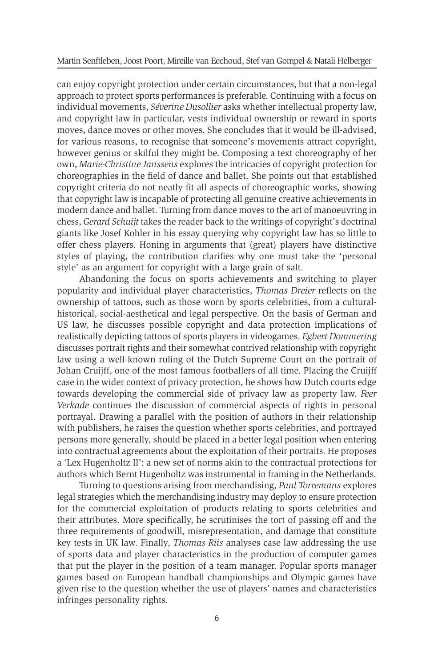can enjoy copyright protection under certain circumstances, but that a non-legal approach to protect sports performances is preferable. Continuing with a focus on individual movements, *Séverine Dusollier* asks whether intellectual property law, and copyright law in particular, vests individual ownership or reward in sports moves, dance moves or other moves. She concludes that it would be ill-advised, for various reasons, to recognise that someone's movements attract copyright, however genius or skilful they might be. Composing a text choreography of her own, *Marie-Christine Janssens* explores the intricacies of copyright protection for choreographies in the field of dance and ballet. She points out that established copyright criteria do not neatly fit all aspects of choreographic works, showing that copyright law is incapable of protecting all genuine creative achievements in modern dance and ballet. Turning from dance moves to the art of manoeuvring in chess, *Gerard Schuijt* takes the reader back to the writings of copyright's doctrinal giants like Josef Kohler in his essay querying why copyright law has so little to offer chess players. Honing in arguments that (great) players have distinctive styles of playing, the contribution clarifies why one must take the 'personal style' as an argument for copyright with a large grain of salt.

Abandoning the focus on sports achievements and switching to player popularity and individual player characteristics, *Thomas Dreier* reflects on the ownership of tattoos, such as those worn by sports celebrities, from a culturalhistorical, social-aesthetical and legal perspective. On the basis of German and US law, he discusses possible copyright and data protection implications of realistically depicting tattoos of sports players in videogames. *Egbert Dommering*  discusses portrait rights and their somewhat contrived relationship with copyright law using a well-known ruling of the Dutch Supreme Court on the portrait of Johan Cruijff, one of the most famous footballers of all time. Placing the Cruijff case in the wider context of privacy protection, he shows how Dutch courts edge towards developing the commercial side of privacy law as property law. *Feer Verkade* continues the discussion of commercial aspects of rights in personal portrayal. Drawing a parallel with the position of authors in their relationship with publishers, he raises the question whether sports celebrities, and portrayed persons more generally, should be placed in a better legal position when entering into contractual agreements about the exploitation of their portraits. He proposes a 'Lex Hugenholtz II': a new set of norms akin to the contractual protections for authors which Bernt Hugenholtz was instrumental in framing in the Netherlands.

Turning to questions arising from merchandising, *Paul Torremans* explores legal strategies which the merchandising industry may deploy to ensure protection for the commercial exploitation of products relating to sports celebrities and their attributes. More specifically, he scrutinises the tort of passing off and the three requirements of goodwill, misrepresentation, and damage that constitute key tests in UK law. Finally, *Thomas Riis* analyses case law addressing the use of sports data and player characteristics in the production of computer games that put the player in the position of a team manager. Popular sports manager games based on European handball championships and Olympic games have given rise to the question whether the use of players' names and characteristics infringes personality rights.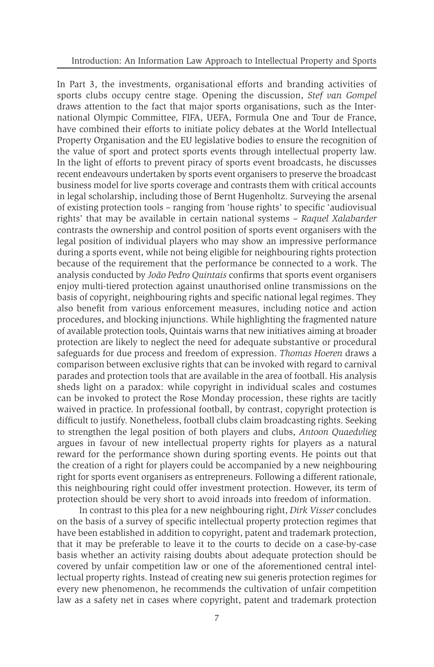In Part 3, the investments, organisational efforts and branding activities of sports clubs occupy centre stage. Opening the discussion, *Stef van Gompel* draws attention to the fact that major sports organisations, such as the International Olympic Committee, FIFA, UEFA, Formula One and Tour de France, have combined their efforts to initiate policy debates at the World Intellectual Property Organisation and the EU legislative bodies to ensure the recognition of the value of sport and protect sports events through intellectual property law. In the light of efforts to prevent piracy of sports event broadcasts, he discusses recent endeavours undertaken by sports event organisers to preserve the broadcast business model for live sports coverage and contrasts them with critical accounts in legal scholarship, including those of Bernt Hugenholtz. Surveying the arsenal of existing protection tools – ranging from 'house rights' to specific 'audiovisual rights' that may be available in certain national systems – *Raquel Xalabarder* contrasts the ownership and control position of sports event organisers with the legal position of individual players who may show an impressive performance during a sports event, while not being eligible for neighbouring rights protection because of the requirement that the performance be connected to a work. The analysis conducted by *João Pedro Quintais* confirms that sports event organisers enjoy multi-tiered protection against unauthorised online transmissions on the basis of copyright, neighbouring rights and specific national legal regimes. They also benefit from various enforcement measures, including notice and action procedures, and blocking injunctions. While highlighting the fragmented nature of available protection tools, Quintais warns that new initiatives aiming at broader protection are likely to neglect the need for adequate substantive or procedural safeguards for due process and freedom of expression. *Thomas Hoeren* draws a comparison between exclusive rights that can be invoked with regard to carnival parades and protection tools that are available in the area of football. His analysis sheds light on a paradox: while copyright in individual scales and costumes can be invoked to protect the Rose Monday procession, these rights are tacitly waived in practice. In professional football, by contrast, copyright protection is difficult to justify. Nonetheless, football clubs claim broadcasting rights. Seeking to strengthen the legal position of both players and clubs, *Antoon Quaedvlieg* argues in favour of new intellectual property rights for players as a natural reward for the performance shown during sporting events. He points out that the creation of a right for players could be accompanied by a new neighbouring right for sports event organisers as entrepreneurs. Following a different rationale, this neighbouring right could offer investment protection. However, its term of protection should be very short to avoid inroads into freedom of information.

In contrast to this plea for a new neighbouring right, *Dirk Visser* concludes on the basis of a survey of specific intellectual property protection regimes that have been established in addition to copyright, patent and trademark protection, that it may be preferable to leave it to the courts to decide on a case-by-case basis whether an activity raising doubts about adequate protection should be covered by unfair competition law or one of the aforementioned central intellectual property rights. Instead of creating new sui generis protection regimes for every new phenomenon, he recommends the cultivation of unfair competition law as a safety net in cases where copyright, patent and trademark protection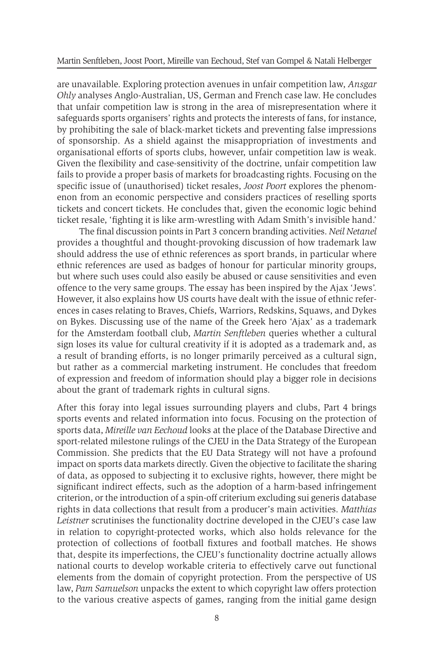are unavailable. Exploring protection avenues in unfair competition law, *Ansgar Ohly* analyses Anglo-Australian, US, German and French case law. He concludes that unfair competition law is strong in the area of misrepresentation where it safeguards sports organisers' rights and protects the interests of fans, for instance, by prohibiting the sale of black-market tickets and preventing false impressions of sponsorship. As a shield against the misappropriation of investments and organisational efforts of sports clubs, however, unfair competition law is weak. Given the flexibility and case-sensitivity of the doctrine, unfair competition law fails to provide a proper basis of markets for broadcasting rights. Focusing on the specific issue of (unauthorised) ticket resales, *Joost Poort* explores the phenomenon from an economic perspective and considers practices of reselling sports tickets and concert tickets. He concludes that, given the economic logic behind ticket resale, 'fighting it is like arm-wrestling with Adam Smith's invisible hand.'

The final discussion points in Part 3 concern branding activities. *Neil Netanel* provides a thoughtful and thought-provoking discussion of how trademark law should address the use of ethnic references as sport brands, in particular where ethnic references are used as badges of honour for particular minority groups, but where such uses could also easily be abused or cause sensitivities and even offence to the very same groups. The essay has been inspired by the Ajax 'Jews'. However, it also explains how US courts have dealt with the issue of ethnic references in cases relating to Braves, Chiefs, Warriors, Redskins, Squaws, and Dykes on Bykes. Discussing use of the name of the Greek hero 'Ajax' as a trademark for the Amsterdam football club, *Martin Senftleben* queries whether a cultural sign loses its value for cultural creativity if it is adopted as a trademark and, as a result of branding efforts, is no longer primarily perceived as a cultural sign, but rather as a commercial marketing instrument. He concludes that freedom of expression and freedom of information should play a bigger role in decisions about the grant of trademark rights in cultural signs.

After this foray into legal issues surrounding players and clubs, Part 4 brings sports events and related information into focus. Focusing on the protection of sports data, *Mireille van Eechoud* looks at the place of the Database Directive and sport-related milestone rulings of the CJEU in the Data Strategy of the European Commission. She predicts that the EU Data Strategy will not have a profound impact on sports data markets directly. Given the objective to facilitate the sharing of data, as opposed to subjecting it to exclusive rights, however, there might be significant indirect effects, such as the adoption of a harm-based infringement criterion, or the introduction of a spin-off criterium excluding sui generis database rights in data collections that result from a producer's main activities. *Matthias Leistner* scrutinises the functionality doctrine developed in the CJEU's case law in relation to copyright-protected works, which also holds relevance for the protection of collections of football fixtures and football matches. He shows that, despite its imperfections, the CJEU's functionality doctrine actually allows national courts to develop workable criteria to effectively carve out functional elements from the domain of copyright protection. From the perspective of US law, *Pam Samuelson* unpacks the extent to which copyright law offers protection to the various creative aspects of games, ranging from the initial game design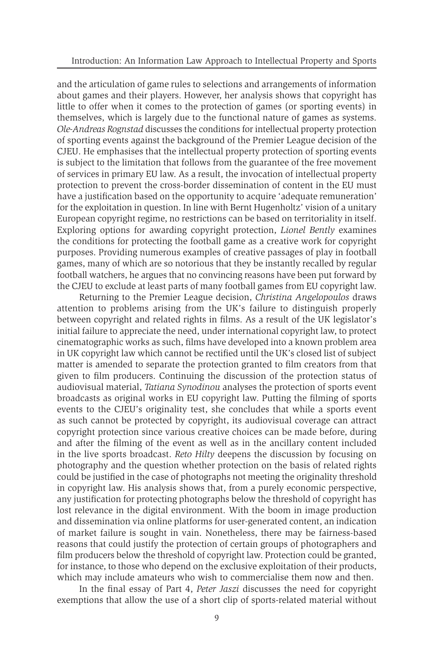and the articulation of game rules to selections and arrangements of information about games and their players. However, her analysis shows that copyright has little to offer when it comes to the protection of games (or sporting events) in themselves, which is largely due to the functional nature of games as systems. *Ole-Andreas Rognstad* discusses the conditions for intellectual property protection of sporting events against the background of the Premier League decision of the CJEU. He emphasises that the intellectual property protection of sporting events is subject to the limitation that follows from the guarantee of the free movement of services in primary EU law. As a result, the invocation of intellectual property protection to prevent the cross-border dissemination of content in the EU must have a justification based on the opportunity to acquire 'adequate remuneration' for the exploitation in question. In line with Bernt Hugenholtz' vision of a unitary European copyright regime, no restrictions can be based on territoriality in itself. Exploring options for awarding copyright protection, *Lionel Bently* examines the conditions for protecting the football game as a creative work for copyright purposes. Providing numerous examples of creative passages of play in football games, many of which are so notorious that they be instantly recalled by regular football watchers, he argues that no convincing reasons have been put forward by the CJEU to exclude at least parts of many football games from EU copyright law.

Returning to the Premier League decision, *Christina Angelopoulos* draws attention to problems arising from the UK's failure to distinguish properly between copyright and related rights in films. As a result of the UK legislator's initial failure to appreciate the need, under international copyright law, to protect cinematographic works as such, films have developed into a known problem area in UK copyright law which cannot be rectified until the UK's closed list of subject matter is amended to separate the protection granted to film creators from that given to film producers. Continuing the discussion of the protection status of audiovisual material, *Tatiana Synodinou* analyses the protection of sports event broadcasts as original works in EU copyright law. Putting the filming of sports events to the CJEU's originality test, she concludes that while a sports event as such cannot be protected by copyright, its audiovisual coverage can attract copyright protection since various creative choices can be made before, during and after the filming of the event as well as in the ancillary content included in the live sports broadcast. *Reto Hilty* deepens the discussion by focusing on photography and the question whether protection on the basis of related rights could be justified in the case of photographs not meeting the originality threshold in copyright law. His analysis shows that, from a purely economic perspective, any justification for protecting photographs below the threshold of copyright has lost relevance in the digital environment. With the boom in image production and dissemination via online platforms for user-generated content, an indication of market failure is sought in vain. Nonetheless, there may be fairness-based reasons that could justify the protection of certain groups of photographers and film producers below the threshold of copyright law. Protection could be granted, for instance, to those who depend on the exclusive exploitation of their products, which may include amateurs who wish to commercialise them now and then.

In the final essay of Part 4, *Peter Jaszi* discusses the need for copyright exemptions that allow the use of a short clip of sports-related material without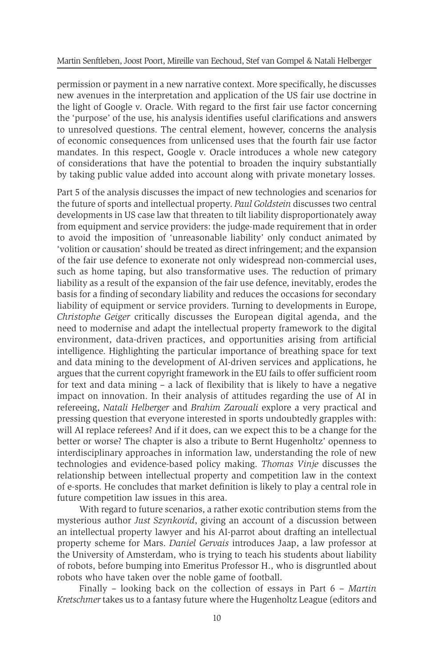permission or payment in a new narrative context. More specifically, he discusses new avenues in the interpretation and application of the US fair use doctrine in the light of Google v. Oracle. With regard to the first fair use factor concerning the 'purpose' of the use, his analysis identifies useful clarifications and answers to unresolved questions. The central element, however, concerns the analysis of economic consequences from unlicensed uses that the fourth fair use factor mandates. In this respect, Google v. Oracle introduces a whole new category of considerations that have the potential to broaden the inquiry substantially by taking public value added into account along with private monetary losses.

Part 5 of the analysis discusses the impact of new technologies and scenarios for the future of sports and intellectual property. *Paul Goldstein* discusses two central developments in US case law that threaten to tilt liability disproportionately away from equipment and service providers: the judge-made requirement that in order to avoid the imposition of 'unreasonable liability' only conduct animated by 'volition or causation' should be treated as direct infringement; and the expansion of the fair use defence to exonerate not only widespread non-commercial uses, such as home taping, but also transformative uses. The reduction of primary liability as a result of the expansion of the fair use defence, inevitably, erodes the basis for a finding of secondary liability and reduces the occasions for secondary liability of equipment or service providers. Turning to developments in Europe, *Christophe Geiger* critically discusses the European digital agenda, and the need to modernise and adapt the intellectual property framework to the digital environment, data-driven practices, and opportunities arising from artificial intelligence. Highlighting the particular importance of breathing space for text and data mining to the development of AI-driven services and applications, he argues that the current copyright framework in the EU fails to offer sufficient room for text and data mining – a lack of flexibility that is likely to have a negative impact on innovation. In their analysis of attitudes regarding the use of AI in refereeing, *Natali Helberger* and *Brahim Zarouali* explore a very practical and pressing question that everyone interested in sports undoubtedly grapples with: will AI replace referees? And if it does, can we expect this to be a change for the better or worse? The chapter is also a tribute to Bernt Hugenholtz' openness to interdisciplinary approaches in information law, understanding the role of new technologies and evidence-based policy making. *Thomas Vinje* discusses the relationship between intellectual property and competition law in the context of e-sports. He concludes that market definition is likely to play a central role in future competition law issues in this area.

With regard to future scenarios, a rather exotic contribution stems from the mysterious author *Just Szynkovid*, giving an account of a discussion between an intellectual property lawyer and his AI-parrot about drafting an intellectual property scheme for Mars. *Daniel Gervais* introduces Jaap, a law professor at the University of Amsterdam, who is trying to teach his students about liability of robots, before bumping into Emeritus Professor H., who is disgruntled about robots who have taken over the noble game of football.

Finally – looking back on the collection of essays in Part 6 – *Martin Kretschmer* takes us to a fantasy future where the Hugenholtz League (editors and